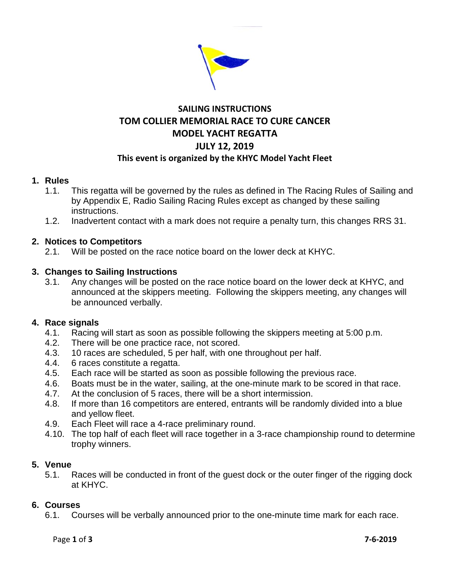

# **SAILING INSTRUCTIONS TOM COLLIER MEMORIAL RACE TO CURE CANCER MODEL YACHT REGATTA JULY 12, 2019 This event is organized by the KHYC Model Yacht Fleet**

## **1. Rules**

- 1.1. This regatta will be governed by the rules as defined in The Racing Rules of Sailing and by Appendix E, Radio Sailing Racing Rules except as changed by these sailing instructions.
- 1.2. Inadvertent contact with a mark does not require a penalty turn, this changes RRS 31.

# **2. Notices to Competitors**

2.1. Will be posted on the race notice board on the lower deck at KHYC.

# **3. Changes to Sailing Instructions**

3.1. Any changes will be posted on the race notice board on the lower deck at KHYC, and announced at the skippers meeting. Following the skippers meeting, any changes will be announced verbally.

## **4. Race signals**

- 4.1. Racing will start as soon as possible following the skippers meeting at 5:00 p.m.
- 4.2. There will be one practice race, not scored.<br>4.3. 10 races are scheduled. 5 per half, with one
- 10 races are scheduled, 5 per half, with one throughout per half.
- 4.4. 6 races constitute a regatta.
- 4.5. Each race will be started as soon as possible following the previous race.
- 4.6. Boats must be in the water, sailing, at the one-minute mark to be scored in that race.
- 4.7. At the conclusion of 5 races, there will be a short intermission.
- 4.8. If more than 16 competitors are entered, entrants will be randomly divided into a blue and yellow fleet.
- 4.9. Each Fleet will race a 4-race preliminary round.
- 4.10. The top half of each fleet will race together in a 3-race championship round to determine trophy winners.

## **5. Venue**

5.1. Races will be conducted in front of the guest dock or the outer finger of the rigging dock at KHYC.

## **6. Courses**

6.1. Courses will be verbally announced prior to the one-minute time mark for each race.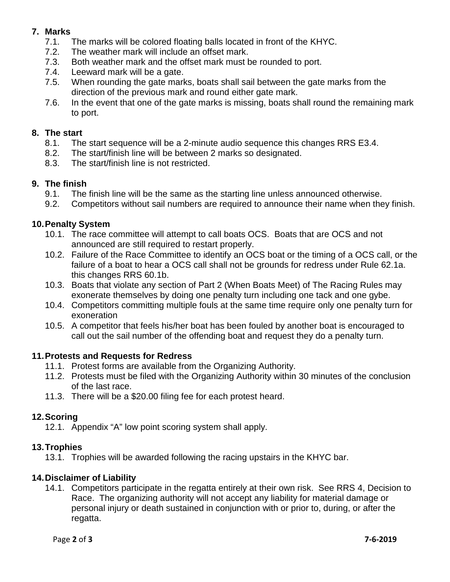# **7. Marks**

- 7.1. The marks will be colored floating balls located in front of the KHYC.
- 7.2. The weather mark will include an offset mark.
- 7.3. Both weather mark and the offset mark must be rounded to port.
- 7.4. Leeward mark will be a gate.
- 7.5. When rounding the gate marks, boats shall sail between the gate marks from the direction of the previous mark and round either gate mark.
- 7.6. In the event that one of the gate marks is missing, boats shall round the remaining mark to port.

## **8. The start**

- 8.1. The start sequence will be a 2-minute audio sequence this changes RRS E3.4.
- 8.2. The start/finish line will be between 2 marks so designated.
- 8.3. The start/finish line is not restricted.

# **9. The finish**

- 9.1. The finish line will be the same as the starting line unless announced otherwise.
- 9.2. Competitors without sail numbers are required to announce their name when they finish.

# **10.Penalty System**

- 10.1. The race committee will attempt to call boats OCS. Boats that are OCS and not announced are still required to restart properly.
- 10.2. Failure of the Race Committee to identify an OCS boat or the timing of a OCS call, or the failure of a boat to hear a OCS call shall not be grounds for redress under Rule 62.1a. this changes RRS 60.1b.
- 10.3. Boats that violate any section of Part 2 (When Boats Meet) of The Racing Rules may exonerate themselves by doing one penalty turn including one tack and one gybe.
- 10.4. Competitors committing multiple fouls at the same time require only one penalty turn for exoneration
- 10.5. A competitor that feels his/her boat has been fouled by another boat is encouraged to call out the sail number of the offending boat and request they do a penalty turn.

## **11.Protests and Requests for Redress**

- 11.1. Protest forms are available from the Organizing Authority.
- 11.2. Protests must be filed with the Organizing Authority within 30 minutes of the conclusion of the last race.
- 11.3. There will be a \$20.00 filing fee for each protest heard.

## **12.Scoring**

12.1. Appendix "A" low point scoring system shall apply.

## **13.Trophies**

13.1. Trophies will be awarded following the racing upstairs in the KHYC bar.

## **14.Disclaimer of Liability**

14.1. Competitors participate in the regatta entirely at their own risk. See RRS 4, Decision to Race. The organizing authority will not accept any liability for material damage or personal injury or death sustained in conjunction with or prior to, during, or after the regatta.